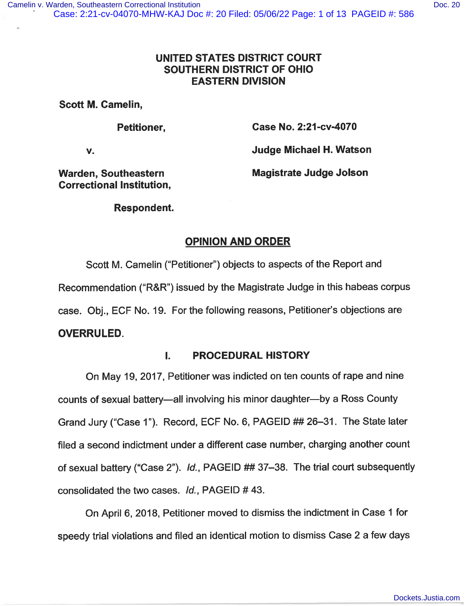## UNITED STATES DISTRICT COURT SOUTHERN DISTRICT OF OHIO EASTERN DIVISION

Scott M. Camelin,

Petitioner,

Case No. 2:21-cv-4070

V.

Judge Michael H. Watson

Warden, Southeastern Correctional Institution, Magistrate Judge Jolson

## Respondent.

# OPINION AND ORDER

Scott M. Camelin ("Petitioner") objects to aspects of the Report and Recommendation ("R&R") issued by the Magistrate Judge in this habeas corpus case. Obj., ECF No. 19. For the following reasons, Petitioner's objections are OVERRULED.

## I. PROCEDURAL HISTORY

On May 19, 2017, Petitioner was indicted on ten counts of rape and nine counts of sexual battery-all involving his minor daughter-by a Ross County Grand Jury ("Case 1"). Record, ECF No. 6, PAGEID ## 26-31. The State later filed a second indictment under a different case number, charging another count of sexual battery ("Case 2"). Id., PAGEID ## 37-38. The trial court subsequently consolidated the two cases. Id., PAGEID # 43.

On April 6, 2018, Petitioner moved to dismiss the indictment in Case 1 for speedy trial violations and filed an identical motion to dismiss Case 2 a few days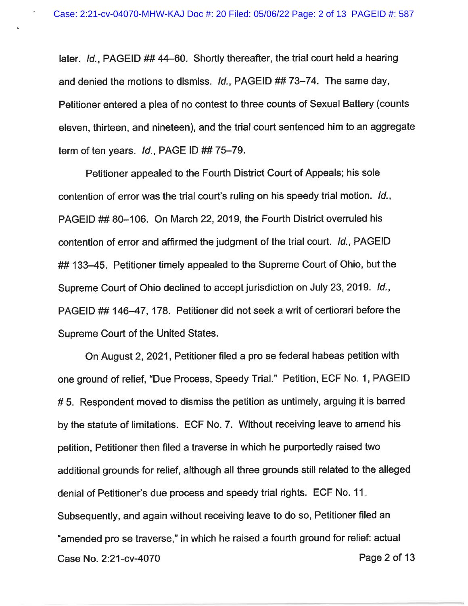later. Id., PAGEID ## 44-60. Shortly thereafter, the trial court held a hearing and denied the motions to dismiss. Id., PAGEID ## 73-74. The same day, Petitioner entered a plea of no contest to three counts of Sexual Battery (counts eleven, thirteen, and nineteen), and the trial court sentenced him to an aggregate term of ten years.  $Id.$ , PAGE ID  $\#$  75-79.

Petitioner appealed to the Fourth District Court of Appeals; his sole contention of error was the trial court's ruling on his speedy trial motion. Id., PAGEID ## 80-106. On March 22, 2019, the Fourth District overruled his contention of error and affirmed the judgment of the trial court. Id., PAGEID ## 133-45. Petitioner timely appealed to the Supreme Court of Ohio, but the Supreme Court of Ohio declined to accept jurisdiction on July 23, 2019. Id., PAGEID ## 146-47, 178. Petitioner did not seek a writ of certiorari before the Supreme Court of the United States.

On August 2, 2021, Petitioner filed a pro se federal habeas petition with one ground of relief, "Due Process, Speedy Trial." Petition, ECF No. 1, PAGEID # 5. Respondent moved to dismiss the petition as untimely, arguing it is barred by the statute of limitations. ECF No. 7. Without receiving leave to amend his petition, Petitioner then filed a traverse in which he purportedly raised two additional grounds for relief, although all three grounds still related to the alleged denial of Petitioner's due process and speedy trial rights. ECF No. 11 Subsequently, and again without receiving leave to do so, Petitioner filed an "amended pro se traverse," in which he raised a fourth ground for relief: actual Case No. 2:21-cv-4070 Page 2 of 13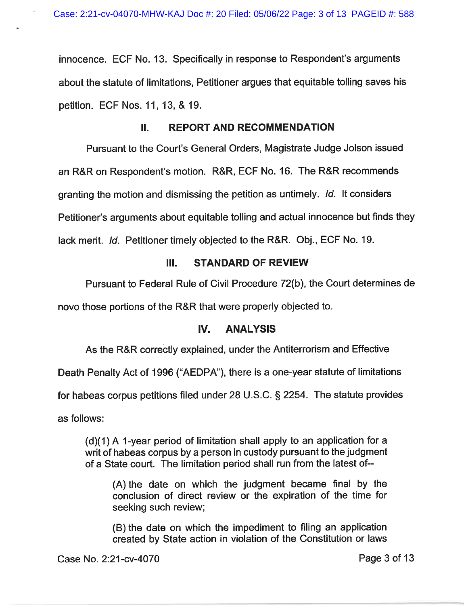innocence. ECF No. 13. Specifically in response to Respondent's arguments about the statute of limitations. Petitioner argues that equitable tolling saves his petition. ECF Nos. 11, 13, & 19.

## II. REPORT AND RECOMMENDATION

Pursuant to the Court's General Orders, Magistrate Judge Jolson issued an R&R on Respondent's motion. R&R, ECF No. 16. The R&R recommends granting the motion and dismissing the petition as untimely. Id. It considers Petitioner's arguments about equitable tolling and actual innocence but finds they lack merit. Id. Petitioner timely objected to the R&R. Obj., ECF No. 19.

## III. STANDARD OF REVIEW

Pursuant to Federal Rule of Civil Procedure 72(b), the Court determines de

novo those portions of the R&R that were properly objected to.

## IV. ANALYSIS

As the R&R correctly explained, under the Antiterrorism and Effective

Death Penalty Act of 1996 ("AEDPA"), there is a one-year statute of limitations

for habeas corpus petitions filed under 28 U. S. C. § 2254. The statute provides

as follows:

(d)(1) A 1-year period of limitation shall apply to an application for a writ of habeas corpus by a person in custody pursuant to the judgment of a State court. The limitation period shall run from the latest of-

(A) the date on which the judgment became final by the conclusion of direct review or the expiration of the time for seeking such review:

(B) the date on which the impediment to filing an application created by State action in violation of the Constitution or laws

Case No. 2:21-cv-4070 Page 3 of 13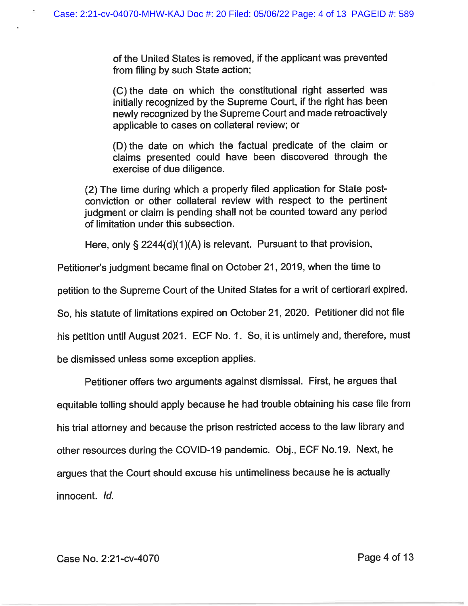of the United States is removed, if the applicant was prevented from filing by such State action:

(C) the date on which the constitutional right asserted was initially recognized by the Supreme Court, if the right has been newly recognized by the Supreme Court and made retroactively applicable to cases on collateral review; or

(D) the date on which the factual predicate of the claim or claims presented could have been discovered through the exercise of due diligence.

(2) The time during which a properly filed application for State postconviction or other collateral review with respect to the pertinent judgment or claim is pending shall not be counted toward any period of limitation under this subsection.

Here, only § 2244(d)(1 )(A) is relevant. Pursuant to that provision,

Petitioner's judgment became final on October 21, 2019, when the time to

petition to the Supreme Court of the United States for a writ of certiorari expired.

So, his statute of limitations expired on October 21, 2020. Petitioner did not file

his petition until August 2021. ECF No. 1. So, it is untimely and, therefore, must

be dismissed unless some exception applies.

Petitioner offers two arguments against dismissal. First, he argues that

equitable tolling should apply because he had trouble obtaining his case file from his trial attorney and because the prison restricted access to the law library and other resources during the COVID-19 pandemic. Obj., ECF No. 19. Next, he argues that the Court should excuse his untimeliness because he is actually

innocent. Id.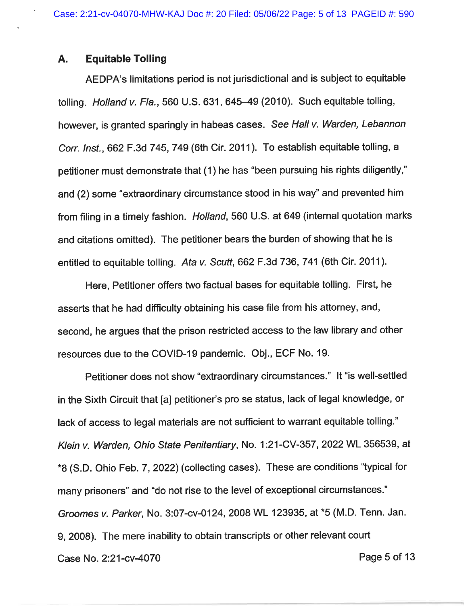## A. Equitable Tolling

AEDPA's limitations period is not jurisdictional and is subject to equitable tolling. Holland v. Fla., 560 U.S. 631, 645-49 (2010). Such equitable tolling, however, is granted sparingly in habeas cases. See Hall v. Warden, Lebannon Corr. Inst., 662 F.3d 745, 749 (6th Cir. 2011). To establish equitable tolling, a petitioner must demonstrate that (1) he has "been pursuing his rights diligently," and (2) some "extraordinary circumstance stood in his way" and prevented him from filing in a timely fashion. Holland, 560 U. S. at 649 (internal quotation marks and citations omitted). The petitioner bears the burden of showing that he is entitled to equitable tolling. Ata v. Scutt,  $662$  F. 3d 736, 741 (6th Cir. 2011).

Here, Petitioner offers two factual bases for equitable tolling. First, he asserts that he had difficulty obtaining his case file from his attorney, and, second, he argues that the prison restricted access to the law library and other resources due to the COVID-19 pandemic. Obj., ECF No. 19.

Petitioner does not show "extraordinary circumstances." It "is well-settled in the Sixth Circuit that [a] petitioner's pro se status, lack of legal knowledge, or lack of access to legal materials are not sufficient to warrant equitable tolling." Klein v. Warden, Ohio State Penitentiary, No. 1;21-CV-357, 2022 WL 356539, at \*8 (S. D. Ohio Feb. 7, 2022) (collecting cases). These are conditions "typical for many prisoners" and "do not rise to the level of exceptional circumstances." Groomes v. Parker, No. 3:07-cv-0124, 2008 WL 123935, at \*5 (M. D. Tenn. Jan. 9, 2008). The mere inability to obtain transcripts or other relevant court Case No. 2:21-cv-4070 Page 5 of 13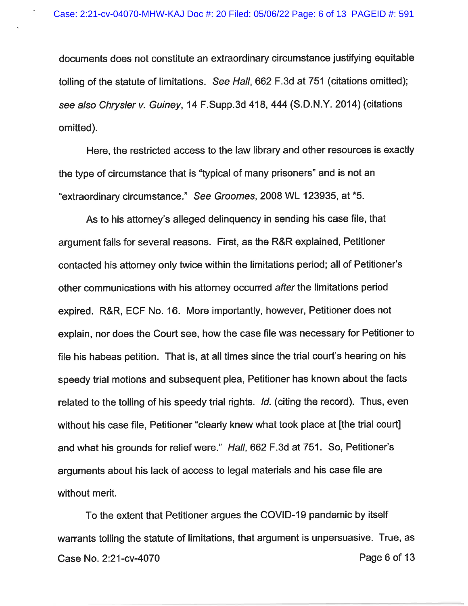documents does not constitute an extraordinary circumstance justifying equitable tolling of the statute of limitations. See Hall, 662 F.3d at 751 (citations omitted); see also Chrysler v. Guiney, 14 F. Supp. 3d 418, 444 (S.D.N.Y. 2014) (citations omitted).

Here, the restricted access to the law library and other resources is exactly the type of circumstance that is "typical of many prisoners" and is not an "extraordinary circumstance." See Groomes, 2008 WL 123935, at \*5.

As to his attorney's alleged delinquency in sending his case file, that argument fails for several reasons. First, as the R&R explained, Petitioner contacted his attorney only twice within the limitations period; all of Petitioner's other communications with his attorney occurred after the limitations period expired. R&R, ECF No. 16. More importantly, however, Petitioner does not explain, nor does the Court see, how the case file was necessary for Petitioner to file his habeas petition. That is, at all times since the trial court's hearing on his speedy trial motions and subsequent plea, Petitioner has known about the facts related to the tolling of his speedy trial rights. Id. (citing the record). Thus, even without his case file, Petitioner "clearly knew what took place at [the trial court] and what his grounds for relief were." Hall, 662 F.3d at 751. So, Petitioner's arguments about his lack of access to legal materials and his case file are without merit.

To the extent that Petitioner argues the COVID-19 pandemic by itself warrants tolling the statute of limitations, that argument is unpersuasive. True, as Case No. 2:21-cv-4070 **Page 6 of 13**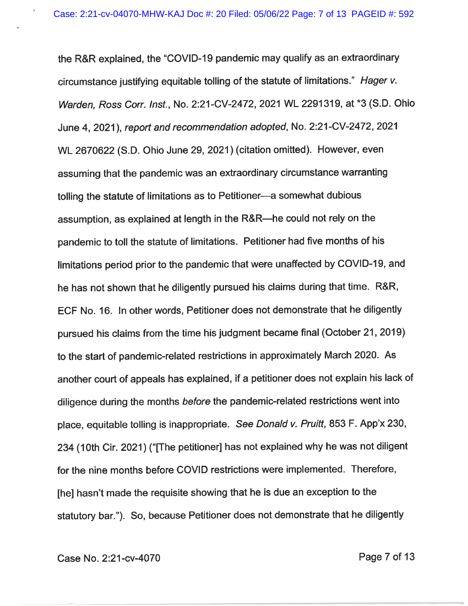the R&R explained, the "COVID-19 pandemic may qualify as an extraordinary circumstance justifying equitable tolling of the statute of limitations." Hager v. Warden, Ross Corr. Inst., No. 2:21-CV-2472, 2021 WL 2291319, at \*3 (S. D. Ohio June 4, 2021), report and recommendation adopted, No. 2:21-CV-2472, 2021 WL 2670622 (S.D. Ohio June 29, 2021) (citation omitted). However, even assuming that the pandemic was an extraordinary circumstance warranting tolling the statute of limitations as to Petitioner-a somewhat dubious assumption, as explained at length in the R&R—he could not rely on the pandemic to toll the statute of limitations. Petitioner had five months of his limitations period prior to the pandemic that were unaffected by COVID-19, and he has not shown that he diligently pursued his claims during that time. R&R, ECF No. 16. In other words, Petitioner does not demonstrate that he diligently pursued his claims from the time his judgment became final (October 21, 2019) to the start of pandemic-related restrictions in approximately March 2020. As another court of appeals has explained, if a petitioner does not explain his lack of diligence during the months before the pandemic-related restrictions went into place, equitable tolling is inappropriate. See Donald v. Pruitt, 853 F. App'x 230. 234 (10th Cir. 2021) ("[The petitioner] has not explained why he was not diligent for the nine months before COVID restrictions were implemented. Therefore, [he] hasn't made the requisite showing that he is due an exception to the statutory bar."). So, because Petitioner does not demonstrate that he diligently

Case No. 2:21-cv-4070 **Page 7 of 13**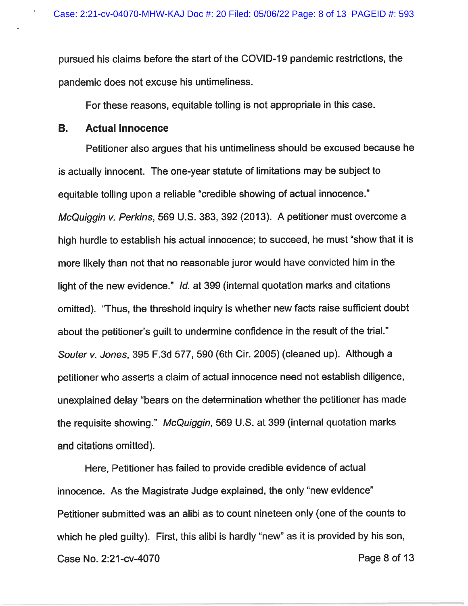pursued his claims before the start of the COVID-19 pandemic restrictions, the pandemic does not excuse his untimeliness.

For these reasons, equitable tolling is not appropriate in this case.

#### B. Actual Innocence

Petitioner also argues that his untimeliness should be excused because he is actually innocent. The one-year statute of limitations may be subject to equitable tolling upon a reliable "credible showing of actual innocence." McQuiggin v. Perkins, 569 U.S. 383, 392 (2013). A petitioner must overcome a high hurdle to establish his actual innocence; to succeed, he must "show that it is more likely than not that no reasonable juror would have convicted him in the light of the new evidence." Id. at 399 (internal quotation marks and citations omitted). "Thus, the threshold inquiry is whether new facts raise sufficient doubt about the petitioner's guilt to undermine confidence in the result of the trial." Souter v. Jones, 395 F.3d 577, 590 (6th Cir. 2005) (cleaned up). Although a petitioner who asserts a claim of actual innocence need not establish diligence, unexplained delay "bears on the determination whether the petitioner has made the requisite showing." McQuiggin, 569 U.S. at 399 (internal quotation marks and citations omitted).

Here, Petitioner has failed to provide credible evidence of actual innocence. As the Magistrate Judge explained, the only "new evidence" Petitioner submitted was an alibi as to count nineteen only (one of the counts to which he pled guilty). First, this alibi is hardly "new" as it is provided by his son, Case No. 2:21-cv-4070 **Page 8 of 13**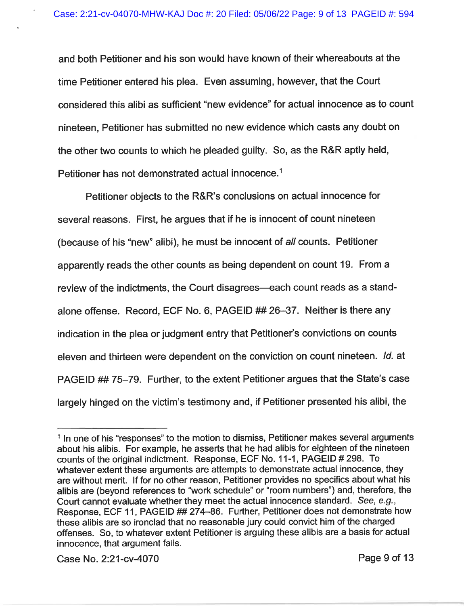and both Petitioner and his son would have known of their whereabouts at the time Petitioner entered his plea. Even assuming, however, that the Court considered this alibi as sufficient "new evidence" for actual innocence as to count nineteen. Petitioner has submitted no new evidence which casts any doubt on the other two counts to which he pleaded guilty. So, as the R&R aptly held, Petitioner has not demonstrated actual innocence.<sup>1</sup>

Petitioner objects to the R&R's conclusions on actual innocence for several reasons. First, he argues that if he is innocent of count nineteen (because of his "new" alibi), he must be innocent of all counts. Petitioner apparently reads the other counts as being dependent on count 19. From a review of the indictments, the Court disagrees—each count reads as a standalone offense. Record, ECF No. 6, PAGEID ## 26-37. Neither is there any indication in the plea or judgment entry that Petitioner's convictions on counts eleven and thirteen were dependent on the conviction on count nineteen. Id. at PAGEID ## 75-79. Further, to the extent Petitioner argues that the State's case largely hinged on the victim's testimony and, if Petitioner presented his alibi, the

<sup>&</sup>lt;sup>1</sup> In one of his "responses" to the motion to dismiss, Petitioner makes several arguments about his alibis. For example, he asserts that he had alibis for eighteen of the nineteen counts of the original indictment. Response, ECF No. 11-1, PAGEID # 298. To whatever extent these arguments are attempts to demonstrate actual innocence, they are without merit. If for no other reason, Petitioner provides no specifics about what his alibis are (beyond references to "work schedule" or "room numbers") and, therefore, the Court cannot evaluate whether they meet the actual innocence standard. See, e.g., Response, ECF 11, PAGEID ## 274-86. Further, Petitioner does not demonstrate how these alibis are so ironclad that no reasonable jury could convict him of the charged offenses. So, to whatever extent Petitioner is arguing these alibis are a basis for actual innocence, that argument fails.

Case No. 2:21-cv-4070 Page 9 of 13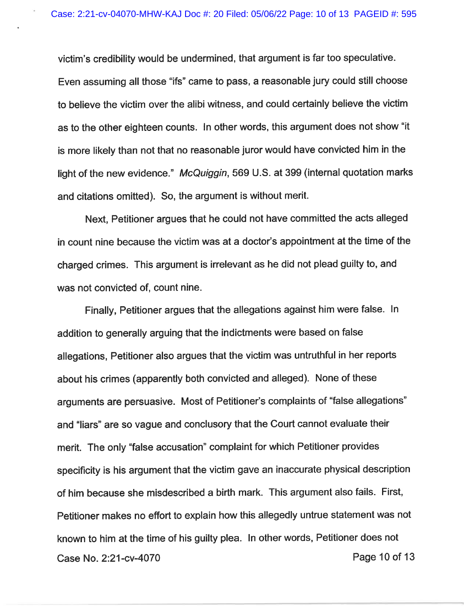victim's credibility would be undermined, that argument is far too speculative. Even assuming all those "ifs" came to pass, a reasonable jury could still choose to believe the victim over the alibi witness, and could certainly believe the victim as to the other eighteen counts. In other words, this argument does not show "it is more likely than not that no reasonable juror would have convicted him in the light of the new evidence." McQuiggin, 569 U.S. at 399 (internal quotation marks and citations omitted). So, the argument is without merit.

Next, Petitioner argues that he could not have committed the acts alleged in count nine because the victim was at a doctor's appointment at the time of the charged crimes. This argument is irrelevant as he did not plead guilty to, and was not convicted of, count nine.

Finally, Petitioner argues that the allegations against him were false. In addition to generally arguing that the indictments were based on false allegations, Petitioner also argues that the victim was untruthful in her reports about his crimes (apparently both convicted and alleged). None of these arguments are persuasive. Most of Petitioner's complaints of "false allegations" and "liars" are so vague and conclusory that the Court cannot evaluate their merit. The only "false accusation" complaint for which Petitioner provides specificity is his argument that the victim gave an inaccurate physical description of him because she misdescribed a birth mark. This argument also fails. First, Petitioner makes no effort to explain how this allegedly untrue statement was not known to him at the time of his guilty plea. In other words, Petitioner does not Case No. 2:21 -cv-4070 Page 10 of 13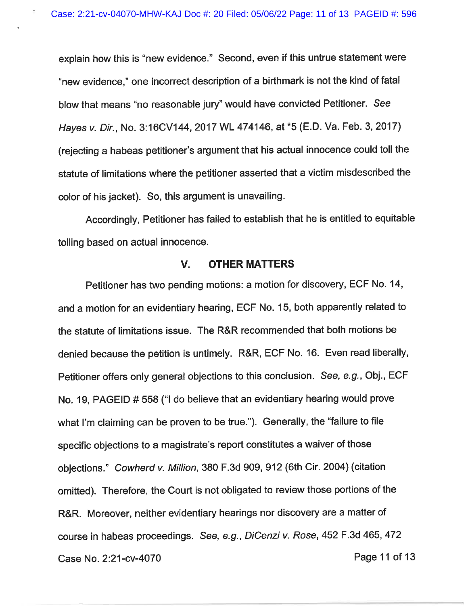explain how this is "new evidence." Second, even if this untrue statement were "new evidence, " one incorrect description of a birthmark is not the kind of fatal blow that means "no reasonable jury" would have convicted Petitioner. See Hayes v. Dir., No. 3:16CV144, 2017 WL 474146, at \*5 (E. D. Va. Feb. 3, 2017) (rejecting a habeas petitioner's argument that his actual innocence could toll the statute of limitations where the petitioner asserted that a victim misdescribed the color of his jacket). So, this argument is unavailing.

Accordingly, Petitioner has failed to establish that he is entitled to equitable tolling based on actual innocence.

#### V. OTHER MATTERS

Petitioner has two pending motions: a motion for discovery, ECF No. 14, and a motion for an evidentiary hearing, ECF No. 15, both apparently related to the statute of limitations issue. The R&R recommended that both motions be denied because the petition is untimely. R&R, ECF No. 16. Even read liberally, Petitioner offers only general objections to this conclusion. See, e.g., Obj., ECF No. 19, PAGEID # 558 ("I do believe that an evidentiary hearing would prove what I'm claiming can be proven to be true."). Generally, the "failure to file specific objections to a magistrate's report constitutes a waiver of those objections." Cowherd v. Million, 380 F.3d 909, 912 (6th Cir. 2004) (citation omitted). Therefore, the Court is not obligated to review those portions of the R&R. Moreover, neither evidentiary hearings nor discovery are a matter of course in habeas proceedings. See, e.g., DiCenzi v. Rose, 452 F.3d 465, 472 Case No. 2:21-cv-4070 **Page 11 of 13**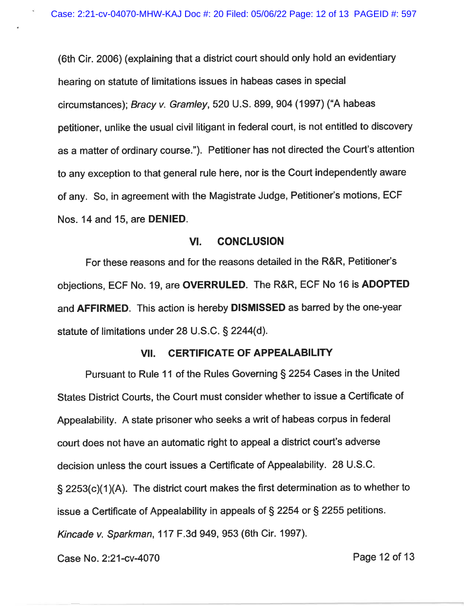(6th Cir. 2006) (explaining that a district court should only hold an evidentiary hearing on statute of limitations issues in habeas cases in special circumstances); Bracy v. Gramley, 520 U. S. 899, 904 (1997) ("A habeas petitioner, unlike the usual civil litigant in federal court, is not entitled to discovery as a matter of ordinary course. "). Petitioner has not directed the Court's attention to any exception to that general rule here, nor is the Court independently aware of any. So, in agreement with the Magistrate Judge, Petitioner's motions, ECF Nos. 14 and 15, are DENIED.

#### VI. CONCLUSION

For these reasons and for the reasons detailed in the R&R, Petitioner's objections, ECF No. 19, are OVERRULED. The R&R, ECF No 16 is ADOPTED and AFFIRMED. This action is hereby DISMISSED as barred by the one-year statute of limitations under 28 U. S.C. § 2244(d).

## VII. CERTIFICATE OF APPEALABILITY

Pursuant to Rule 11 of the Rules Governing § 2254 Cases in the United States District Courts, the Court must consider whether to issue a Certificate of Appealability. A state prisoner who seeks a writ of habeas corpus in federal court does not have an automatic right to appeal a district court's adverse decision unless the court issues a Certificate of Appealability. 28 U.S.C. § 2253(c)(1 )(A). The district court makes the first determination as to whether to issue a Certificate of Appealability in appeals of § 2254 or § 2255 petitions. Kincade v. Sparkman, 117 F.3d 949, 953 (6th Cir. 1997).

Case No. 2:21-cv-4070 Page 12 of 13